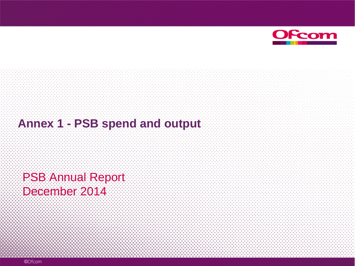

#### **Annex 1 - PSB spend and output**

PSB Annual Report December 2014

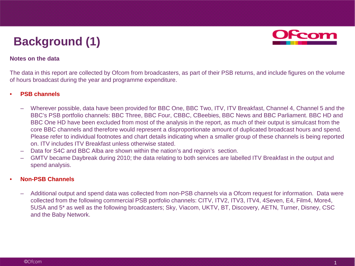## **Background (1)**



#### **Notes on the data**

The data in this report are collected by Ofcom from broadcasters, as part of their PSB returns, and include figures on the volume of hours broadcast during the year and programme expenditure.

#### • **PSB channels**

- Wherever possible, data have been provided for BBC One, BBC Two, ITV, ITV Breakfast, Channel 4, Channel 5 and the BBC's PSB portfolio channels: BBC Three, BBC Four, CBBC, CBeebies, BBC News and BBC Parliament. BBC HD and BBC One HD have been excluded from most of the analysis in the report, as much of their output is simulcast from the core BBC channels and therefore would represent a disproportionate amount of duplicated broadcast hours and spend. Please refer to individual footnotes and chart details indicating when a smaller group of these channels is being reported on. ITV includes ITV Breakfast unless otherwise stated.
- Data for S4C and BBC Alba are shown within the nation's and region's section.
- GMTV became Daybreak during 2010; the data relating to both services are labelled ITV Breakfast in the output and spend analysis.

#### • **Non-PSB Channels**

– Additional output and spend data was collected from non-PSB channels via a Ofcom request for information. Data were collected from the following commercial PSB portfolio channels: CITV, ITV2, ITV3, ITV4, 4Seven, E4, Film4, More4, 5USA and 5\* as well as the following broadcasters; Sky, Viacom, UKTV, BT, Discovery, AETN, Turner, Disney, CSC and the Baby Network.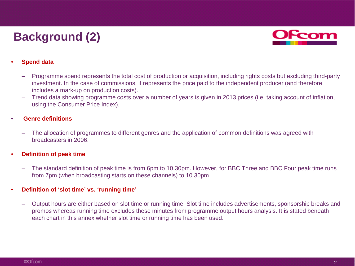## **Background (2)**



#### • **Spend data**

- Programme spend represents the total cost of production or acquisition, including rights costs but excluding third-party investment. In the case of commissions, it represents the price paid to the independent producer (and therefore includes a mark-up on production costs).
- Trend data showing programme costs over a number of years is given in 2013 prices (i.e. taking account of inflation, using the Consumer Price Index).

#### • **Genre definitions**

– The allocation of programmes to different genres and the application of common definitions was agreed with broadcasters in 2006.

#### • **Definition of peak time**

– The standard definition of peak time is from 6pm to 10.30pm. However, for BBC Three and BBC Four peak time runs from 7pm (when broadcasting starts on these channels) to 10.30pm.

#### • **Definition of 'slot time' vs. 'running time'**

– Output hours are either based on slot time or running time. Slot time includes advertisements, sponsorship breaks and promos whereas running time excludes these minutes from programme output hours analysis. It is stated beneath each chart in this annex whether slot time or running time has been used.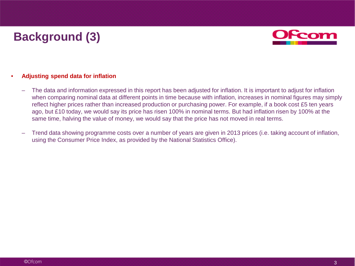### **Background (3)**



#### • **Adjusting spend data for inflation**

- The data and information expressed in this report has been adjusted for inflation. It is important to adjust for inflation when comparing nominal data at different points in time because with inflation, increases in nominal figures may simply reflect higher prices rather than increased production or purchasing power. For example, if a book cost £5 ten years ago, but £10 today, we would say its price has risen 100% in nominal terms. But had inflation risen by 100% at the same time, halving the value of money, we would say that the price has not moved in real terms.
- Trend data showing programme costs over a number of years are given in 2013 prices (i.e. taking account of inflation, using the Consumer Price Index, as provided by the National Statistics Office).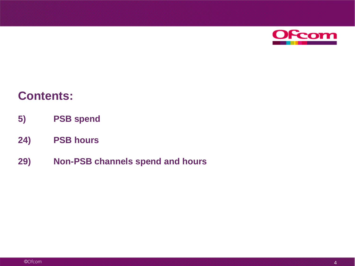

#### **Contents:**

- **5) PSB spend**
- **24) PSB hours**
- **29) Non-PSB channels spend and hours**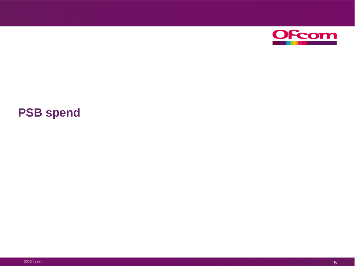

### **PSB spend**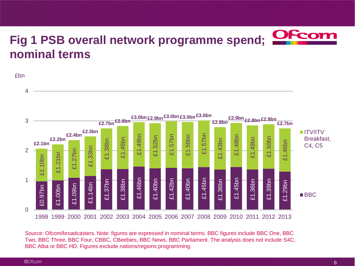## **Fig 1 PSB overall network programme spend; nominal terms**

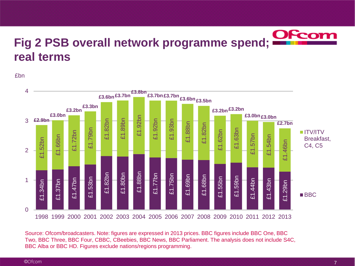

£bn

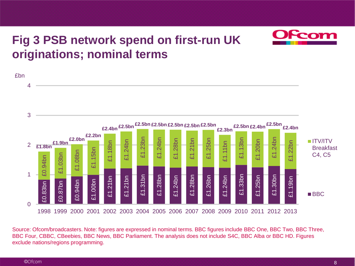### **Fig 3 PSB network spend on first-run UK originations; nominal terms**

£bn £0.83bn £0.87bn £0.94bn £1.00bn £1.21bn £1.21bn £1.31bn £1.28bn £1.24bn £1.28bn £1.26bn £1.24bn £1.33bn £1.25bn £1.30bn £1.19bn £0.94bn £1.03bn £1.08bn £1.15bn £1.18bn £1.24bn £1.23bn £1.24bn £1.28bn £1.21bn £1.25bn £1.11bn £1.13bn £1.20bn £1.24bn £1.22bn **£1.8bn £1.9bn £2.0bn £2.2bn £2.4bn £2.5bn £2.5bn £2.5bn £2.5bn £2.5bn £2.5bn £2.3bn £2.5bn £2.4bn £2.5bn £2.4bn**  $\Omega$ 1 2 3 4 1998 1999 2000 2001 2002 2003 2004 2005 2006 2007 2008 2009 2010 2011 2012 2013 ITV/ITV Breakfast C4, C5 ■BBC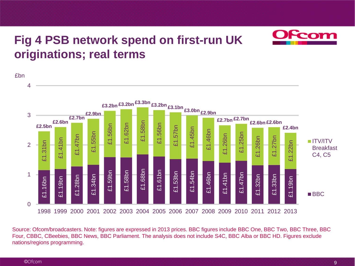### **Fig 4 PSB network spend on first-run UK originations; real terms**

£bn £1.16bn £1.19bn £1.28bn £1.34bn £1.59bn £1.58bn £1.68bn £1.61bn £1.53bn £1.54bn £1.46bn £1.41bn £1.47bn £1.32bn £1.33bn £1.19bn £1.31bn £1.41bn £1.47bn £1.55bn £1.56bn £1.62bn £1.58bn £1.56bn £1.57bn £1.45bn £1.46bn £1.26bn £1.25bn £1.26bn £1.27bn £1.22bn **£2.5bn £2.6bn £2.7bn £2.9bn £3.2bn £3.2bn £3.3bn £3.2bn £3.1bn £3.0bn £2.9bn £2.7bn £2.7bn £2.6bn £2.6bn £2.4bn**  $\Omega$ 1 2 3 4 1998 1999 2000 2001 2002 2003 2004 2005 2006 2007 2008 2009 2010 2011 2012 2013 ITV/ITV Breakfast C4, C5 **BBC**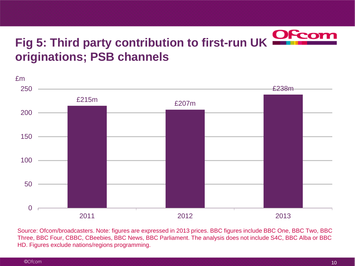# **Fig 5: Third party contribution to first-run UK originations; PSB channels**

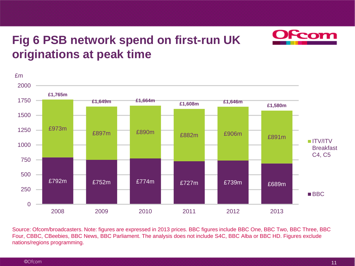### **Fig 6 PSB network spend on first-run UK originations at peak time**



Source: Ofcom/broadcasters. Note: figures are expressed in 2013 prices. BBC figures include BBC One, BBC Two, BBC Three, BBC Four, CBBC, CBeebies, BBC News, BBC Parliament. The analysis does not include S4C, BBC Alba or BBC HD. Figures exclude nations/regions programming.

<u>com</u>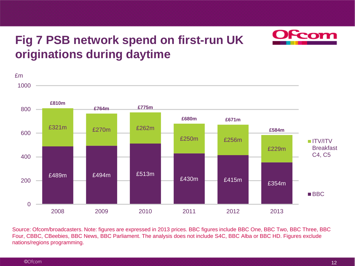#### **Fig 7 PSB network spend on first-run UK originations during daytime**



Source: Ofcom/broadcasters. Note: figures are expressed in 2013 prices. BBC figures include BBC One, BBC Two, BBC Three, BBC Four, CBBC, CBeebies, BBC News, BBC Parliament. The analysis does not include S4C, BBC Alba or BBC HD. Figures exclude nations/regions programming.

<u>com</u>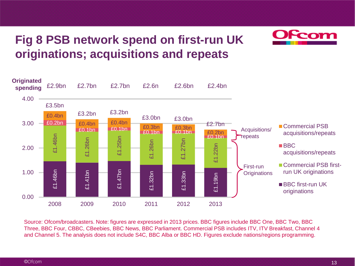### **Fig 8 PSB network spend on first-run UK originations; acquisitions and repeats**





Source: Ofcom/broadcasters. Note: figures are expressed in 2013 prices. BBC figures include BBC One, BBC Two, BBC Three, BBC Four, CBBC, CBeebies, BBC News, BBC Parliament. Commercial PSB includes ITV, ITV Breakfast, Channel 4 and Channel 5. The analysis does not include S4C, BBC Alba or BBC HD. Figures exclude nations/regions programming.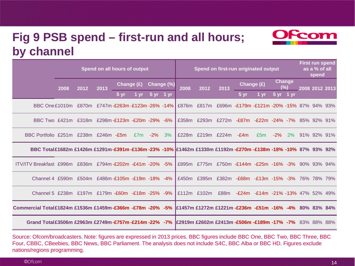#### **Fig 9 PSB spend – first-run and all hours; by channel**



|                                                                                                                                      |      |      | Spend on all hours of output     |            |            |                |         |                                                                | Spend on first-run originated output                |       | <b>First run spend</b><br>as a % of all<br>spend |                                            |                      |                     |  |                |     |
|--------------------------------------------------------------------------------------------------------------------------------------|------|------|----------------------------------|------------|------------|----------------|---------|----------------------------------------------------------------|-----------------------------------------------------|-------|--------------------------------------------------|--------------------------------------------|----------------------|---------------------|--|----------------|-----|
|                                                                                                                                      | 2008 | 2012 | 2013                             | Change (£) | Change (%) |                |         | 2008                                                           | 2012                                                | 2013  | Change (£)                                       |                                            | <b>Change</b><br>(%) |                     |  | 2008 2012 2013 |     |
|                                                                                                                                      |      |      |                                  | $5 \,$ yr  | 1 vr       | $5 \text{ yr}$ | $-1$ vr |                                                                |                                                     |       | 5 <sub>vr</sub>                                  | 1 vr                                       |                      | $5 \text{ yr}$ 1 yr |  |                |     |
| BBC One£1010m £870m £747m-£263m-£123m-26%-14% £876m £817m £696m -£179m-£121m-20%-15% 87% 94% 93%                                     |      |      |                                  |            |            |                |         |                                                                |                                                     |       |                                                  |                                            |                      |                     |  |                |     |
| BBC Two £421m                                                                                                                        |      |      | £318m £298m-£123m -£20m -29%     |            |            |                | -6%     | £358m                                                          | £293m                                               | £272m |                                                  | -£87m -£22m -24%                           |                      | $-7\%$              |  | 85% 92%        | 91% |
| BBC Portfolio £251m £238m £246m -£5m                                                                                                 |      |      |                                  |            | £7m        | $-2%$          | 3%      |                                                                | £228m £219m £224m                                   |       | $-E4m$                                           | £5m                                        | $-2%$                | $2\%$               |  | 91% 92% 91%    |     |
| BBC Total£1682m £1426m £1291m-£391m-£136m-23% -10% E1462m £1330m £1192m-£270m -£138m -18% -10% 87% 93% 92%                           |      |      |                                  |            |            |                |         |                                                                |                                                     |       |                                                  |                                            |                      |                     |  |                |     |
| ITV/ITV Breakfast £996m £836m £794m-£202m -£41m -20% -5%                                                                             |      |      |                                  |            |            |                |         |                                                                | £895m £775m £750m -£144m -£25m -16% -3% 90% 93% 94% |       |                                                  |                                            |                      |                     |  |                |     |
| Channel 4 £590m                                                                                                                      |      |      | £504m £486m-£105m -£19m -18% -4% |            |            |                |         | £450m                                                          | £395m                                               |       | $£382m - £68m - £13m -15% -3%$                   |                                            |                      |                     |  | 76% 78%        | 79% |
| Channel 5 £238m £197m £179m - £60m - £18m - 25% - 9%                                                                                 |      |      |                                  |            |            |                |         |                                                                | £112 $m$ £102 $m$                                   | £88m  |                                                  | $-E24m - E14m - 21\% - 13\% - 47\% - 52\%$ |                      |                     |  |                | 49% |
| 83% 83% 84% Commercial Total£1824m £1536m £1459m <b>-£366m -£78m -20% -5% £1457m £1272m £1221m -£236m -£51m -16% -4%</b> 80% 83% 84% |      |      |                                  |            |            |                |         |                                                                |                                                     |       |                                                  |                                            |                      |                     |  |                |     |
| Grand Total£3506m £2963m £2749m-£757m-£214m-22% -7%                                                                                  |      |      |                                  |            |            |                |         | <b>E2919m £2602m £2413m -£506m -£189m -17% -7%</b> 83% 88% 88% |                                                     |       |                                                  |                                            |                      |                     |  |                |     |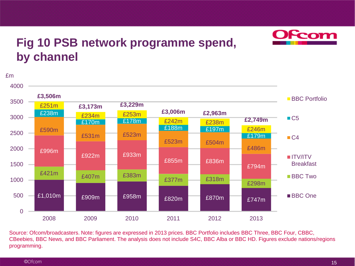

#### **Fig 10 PSB network programme spend, by channel**

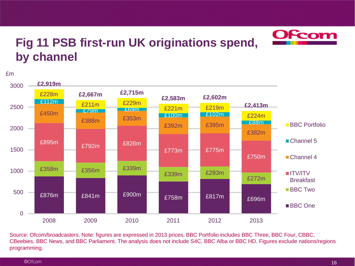

#### **Fig 11 PSB first-run UK originations spend, by channel**

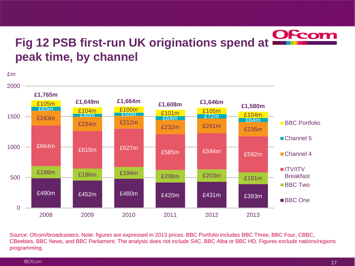#### Ofcom **Fig 12 PSB first-run UK originations spend at peak time, by channel**

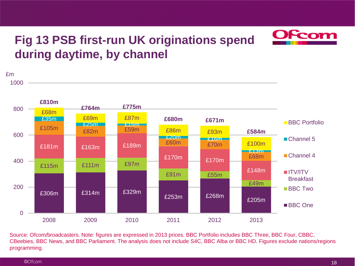### **Fig 13 PSB first-run UK originations spend during daytime, by channel**

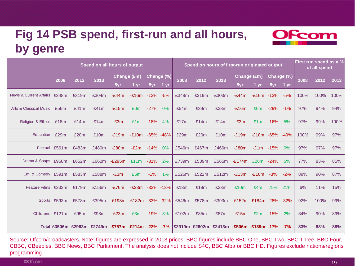#### **Fig 14 PSB spend, first-run and all hours, by genre**



|                                   | Spend on all hours of output |       |                                               |                               |                   |            |                 |       | Spend on hours of first-run originated output | First run spend as a %<br>of all spend      |                         |                 |            |           |      |      |      |
|-----------------------------------|------------------------------|-------|-----------------------------------------------|-------------------------------|-------------------|------------|-----------------|-------|-----------------------------------------------|---------------------------------------------|-------------------------|-----------------|------------|-----------|------|------|------|
|                                   | 2008                         | 2012  | 2013                                          | Change (£m)                   |                   | Change (%) |                 | 2008  | 2012                                          | 2013                                        | Change (£m)             |                 | Change (%) |           | 2008 | 2012 | 2013 |
|                                   |                              |       |                                               | 5yr                           | 1 yr              | 5yr        | 1 <sub>yr</sub> |       |                                               |                                             | 5yr                     | 1 <sub>vr</sub> | 5yr        | 1 yr      |      |      |      |
| News & Current Affairs £348m      |                              | £319m | £304m                                         | $-E44m$                       | $-E16m -13%$      |            | -5%             | £348m | £319m                                         | £303m                                       | $-E44m$                 | $-£16m -13%$    |            | -5%       | 100% | 100% | 100% |
| <b>Arts &amp; Classical Music</b> | £56m                         | £41m  | £41m                                          | $-E15m$                       | £0 <sub>m</sub>   | $-27%$     | 0%              | £54m  | £39m                                          | £38m                                        | $-E16m$                 | £0 <sub>m</sub> | -29%       | $-1\%$    | 97%  | 94%  | 94%  |
| <b>Religion &amp; Ethics</b>      | £18m                         | £14m  | £14m                                          | $-E3m$                        | £1m               | $-18%$     | 4%              | £17m  | £14m                                          | £14m                                        | $-E3m$                  | £1m             | $-16%$     | 5%        | 97%  | 99%  | 100% |
| <b>Education</b>                  | £29m                         | £20m  | £10m                                          | $-E19m$                       | $-£10m -65% -48%$ |            |                 | £29m  | £20m                                          | £10m                                        | $-E19m$                 | -£10m -65% -49% |            |           | 100% | 99%  | 97%  |
|                                   | Factual £561m                | £483m | £480m                                         | $-E80m$                       | $-E2m$            | $-14%$     | 0%              | £546m | £467m                                         | £466m                                       | $-E80m$                 | $-£1m$          | -15%       | 0%        | 97%  | 97%  | 97%  |
| Drama & Soaps £958m               |                              | £652m | £662m                                         | $-E295m$                      | £11 $m - 31\%$    |            | 2%              | £739m | £539m                                         | £565m                                       | $-E174m$                | £26m -24%       |            | 5%        | 77%  | 83%  | 85%  |
| Ent. & Comedy £591m               |                              | £583m | £588m                                         | $-E3m$                        | £5m               | $-1%$      | 1%              | £526m | £522m                                         | £512m                                       | $-E13m$                 | $-£10m$         | $-3%$      | $-2%$     | 89%  | 90%  | 87%  |
| Feature Films £232m               |                              | £179m | £156m                                         | $-E76m$                       | $-E23m -33% -13%$ |            |                 | £13m  | £19m                                          | £23m                                        | £10m                    | £4m             | 75%        | 21%       | 6%   | 11%  | 15%  |
|                                   | Sports £593m                 | £578m |                                               | £395m -£198m -£182m -33% -32% |                   |            |                 | £546m | £578m                                         | £393m                                       | -£152m -£184m -28% -32% |                 |            |           | 92%  | 100% | 99%  |
| Childrens £121m                   |                              | £95m  | £98m                                          | $-E23m$                       | £3m               | $-19%$     | 3%              | £102m | £85m                                          | £87m                                        | $-E15m$                 | £2m             | $-15%$     | <b>2%</b> | 84%  | 90%  | 89%  |
|                                   |                              |       | Total £3506m £2963m £2749m -£757m -£214m -22% |                               |                   |            | $-7%$           |       |                                               | £2919m £2602m £2413m -£506m -£189m -17% -7% |                         |                 |            |           | 83%  | 88%  | 88%  |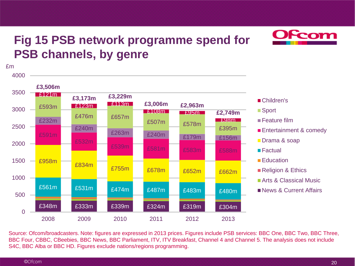### **Fig 15 PSB network programme spend for PSB channels, by genre**



#### ■Children's

- ■Sport
- **Feature film**
- Entertainment & comedy
- Drama & soap
- Factual
- **Education**
- Religion & Ethics
- **Arts & Classical Music**
- News & Current Affairs

Source: Ofcom/broadcasters. Note: figures are expressed in 2013 prices. Figures include PSB services: BBC One, BBC Two, BBC Three, BBC Four, CBBC, CBeebies, BBC News, BBC Parliament, ITV, ITV Breakfast, Channel 4 and Channel 5. The analysis does not include S4C, BBC Alba or BBC HD. Figures exclude nations/regions programming.

£m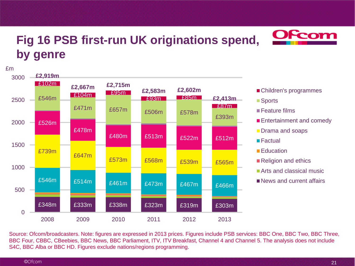### **Fig 16 PSB first-run UK originations spend, by genre**



■ Children's programmes

**OFcom** 

■ Sports

■ Feature films

- **Entertainment and comedy**
- **Drama and soaps**
- Factual
- Education
- Religion and ethics
- **Arts and classical music**
- News and current affairs

Source: Ofcom/broadcasters. Note: figures are expressed in 2013 prices. Figures include PSB services: BBC One, BBC Two, BBC Three, BBC Four, CBBC, CBeebies, BBC News, BBC Parliament, ITV, ITV Breakfast, Channel 4 and Channel 5. The analysis does not include S4C, BBC Alba or BBC HD. Figures exclude nations/regions programming.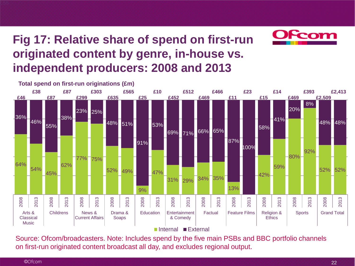### **Fig 17: Relative share of spend on first-run originated content by genre, in-house vs. independent producers: 2008 and 2013**





Internal External

Source: Ofcom/broadcasters. Note: Includes spend by the five main PSBs and BBC portfolio channels on first-run originated content broadcast all day, and excludes regional output.

**£55**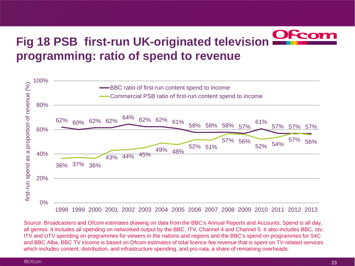# **Fig 18 PSB first-run UK-originated television programming: ratio of spend to revenue**



Source: Broadcasters and Ofcom estimates drawing on data from the BBC's Annual Reports and Accounts. Spend is all day, all genres. It includes all spending on networked output by the BBC, ITV, Channel 4 and Channel 5. It also includes BBC, stv, ITV and UTV spending on programmes for viewers in the nations and regions and the BBC's spend on programmes for S4C and BBC Alba. BBC TV income is based on Ofcom estimates of total licence fee revenue that is spent on TV-related services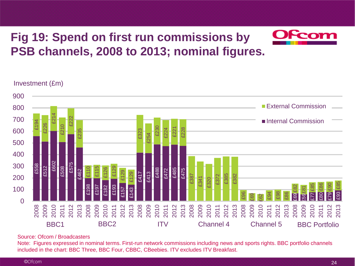### **Fig 19: Spend on first run commissions by PSB channels, 2008 to 2013; nominal figures.**



#### Investment (£m)



#### Source: Ofcom / Broadcasters

Note: Figures expressed in nominal terms. First-run network commissions including news and sports rights. BBC portfolio channels included in the chart: BBC Three, BBC Four, CBBC, CBeebies. ITV excludes ITV Breakfast.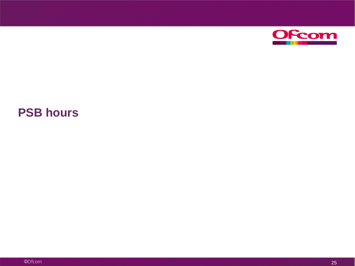

#### **PSB hours**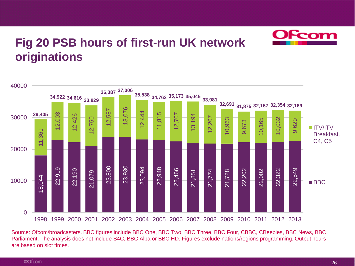

#### **Fig 20 PSB hours of first-run UK network originations**



Source: Ofcom/broadcasters. BBC figures include BBC One, BBC Two, BBC Three, BBC Four, CBBC, CBeebies, BBC News, BBC Parliament. The analysis does not include S4C, BBC Alba or BBC HD. Figures exclude nations/regions programming. Output hours are based on slot times.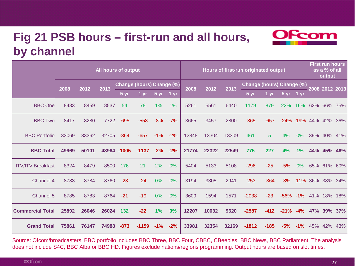#### **Fig 21 PSB hours – first-run and all hours, by channel**



|                          |       |       |       | All hours of output       |         |                 |                   |       | Hours of first-run originated output |       | <b>First run hours</b><br>as a % of all<br>output |                 |           |               |     |             |     |
|--------------------------|-------|-------|-------|---------------------------|---------|-----------------|-------------------|-------|--------------------------------------|-------|---------------------------------------------------|-----------------|-----------|---------------|-----|-------------|-----|
|                          | 2008  | 2012  | 2013  | Change (hours) Change (%) |         | 2008            | $\overline{2012}$ | 2013  | Change (hours) Change (%)            |       | 2008 2012 2013                                    |                 |           |               |     |             |     |
|                          |       |       |       | 5 <sub>yr</sub>           | 1 vr    | 5 <sub>yr</sub> | 1 yr              |       |                                      |       | 5 <sub>yr</sub>                                   | 1 <sub>vr</sub> | $5 \, yr$ | 1 yr          |     |             |     |
| <b>BBC</b> One           | 8483  | 8459  | 8537  | 54                        | 78      | 1%              | 1%                | 5261  | 5561                                 | 6440  | 1179                                              | 879             | 22%       | 16%           |     | 62% 66%     | 75% |
| <b>BBC Two</b>           | 8417  | 8280  | 7722  | $-695$                    | $-558$  | $-8%$           | $-7%$             | 3665  | 3457                                 | 2800  | $-865$                                            | $-657$          |           | $-24\% -19\%$ |     | 44% 42%     | 36% |
| <b>BBC Portfolio</b>     | 33069 | 33362 | 32705 | $-364$                    | $-657$  | $-1%$           | $-2%$             | 12848 | 13304                                | 13309 | 461                                               | 5               | 4%        | 0%            | 39% | 40%         | 41% |
| <b>BBC Total</b>         | 49969 | 50101 |       | 48964 -1005               | $-1137$ | $-2%$           | $-2%$             | 21774 | 22322                                | 22549 | 775                                               | 227             | 4%        | 1%            |     | 44% 45%     | 46% |
| <b>ITV/ITV Breakfast</b> | 8324  | 8479  | 8500  | 176                       | 21      | 2%              | 0%                | 5404  | 5133                                 | 5108  | $-296$                                            | $-25$           | $-5%$     | 0%            |     | 65% 61% 60% |     |
| Channel 4                | 8783  | 8784  | 8760  | $-23$                     | $-24$   | 0%              | 0%                | 3194  | 3305                                 | 2941  | $-253$                                            | $-364$          | $-8%$     | $-11%$        |     | 36% 38%     | 34% |
| Channel 5                | 8785  | 8783  | 8764  | $-21$                     | $-19$   | 0%              | 0%                | 3609  | 1594                                 | 1571  | $-2038$                                           | $-23$           | $-56%$    | $-1\%$        | 41% | 18%         | 18% |
| <b>Commercial Total</b>  | 25892 | 26046 | 26024 | 132                       | $-22$   | 1%              | 0%                | 12207 | 10032                                | 9620  | $-2587$                                           | $-412$          | $-21%$    | $-4%$         | 47% | 39%         | 37% |
| <b>Grand Total</b>       | 75861 | 76147 | 74988 | $-873$                    | $-1159$ | $-1%$           | $-2%$             | 33981 | 32354                                | 32169 | $-1812$                                           | $-185$          | $-5%$     | $-1%$         | 45% | 42%         | 43% |

Source: Ofcom/broadcasters. BBC portfolio includes BBC Three, BBC Four, CBBC, CBeebies, BBC News, BBC Parliament. The analysis does not include S4C, BBC Alba or BBC HD. Figures exclude nations/regions programming. Output hours are based on slot times.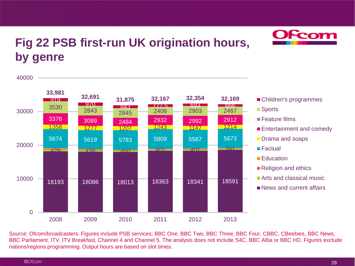

#### **Fig 22 PSB first-run UK origination hours, by genre**



- Children's programmes
- Sports
- Feature films
- **Entertainment and comedy**
- **Drama and soaps**
- Factual
- **Education**
- Religion and ethics
- **Arts and classical music**
- News and current affairs

Source: Ofcom/broadcasters. Figures include PSB services: BBC One, BBC Two, BBC Three, BBC Four, CBBC, CBeebies, BBC News, BBC Parliament, ITV, ITV Breakfast, Channel 4 and Channel 5. The analysis does not include S4C, BBC Alba or BBC HD. Figures exclude nations/regions programming. Output hours are based on slot times.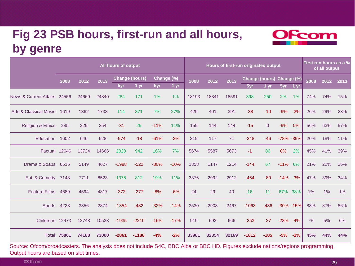### **Fig 23 PSB hours, first-run and all hours, by genre**



Source: Ofcom/broadcasters. The analysis does not include S4C, BBC Alba or BBC HD. Figures exclude nations/regions programming. Output hours are based on slot times.

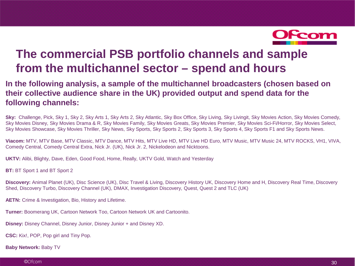

#### **The commercial PSB portfolio channels and sample from the multichannel sector – spend and hours**

#### **In the following analysis, a sample of the multichannel broadcasters (chosen based on their collective audience share in the UK) provided output and spend data for the following channels:**

**Sky:** Challenge, Pick, Sky 1, Sky 2, Sky Arts 1, Sky Arts 2, Sky Atlantic, Sky Box Office, Sky Living, Sky Livingit, Sky Movies Action, Sky Movies Comedy, Sky Movies Disney, Sky Movies Drama & R, Sky Movies Family, Sky Movies Greats, Sky Movies Premier, Sky Movies Sci-Fi/Horror, Sky Movies Select, Sky Movies Showcase, Sky Movies Thriller, Sky News, Sky Sports, Sky Sports 2, Sky Sports 3, Sky Sports 4, Sky Sports F1 and Sky Sports News.

**Viacom:** MTV, MTV Base, MTV Classic, MTV Dance, MTV Hits, MTV Live HD, MTV Live HD Euro, MTV Music, MTV Music 24, MTV ROCKS, VH1, VIVA, Comedy Central, Comedy Central Extra, Nick Jr. (UK), Nick Jr. 2, Nickelodeon and Nicktoons.

**UKTV:** Alibi, Blighty, Dave, Eden, Good Food, Home, Really, UKTV Gold, Watch and Yesterday

**BT: BT Sport 1 and BT Sport 2** 

**Discovery:** Animal Planet (UK), Disc Science (UK), Disc Travel & Living, Discovery History UK, Discovery Home and H, Discovery Real Time, Discovery Shed, Discovery Turbo, Discovery Channel (UK), DMAX, Investigation Discovery, Quest, Quest 2 and TLC (UK)

**AETN:** Crime & Investigation, Bio, History and Lifetime.

**Turner:** Boomerang UK, Cartoon Network Too, Cartoon Network UK and Cartoonito.

**Disney:** Disney Channel, Disney Junior, Disney Junior + and Disney XD.

**CSC:** Kix!, POP, Pop girl and Tiny Pop.

**Baby Network:** Baby TV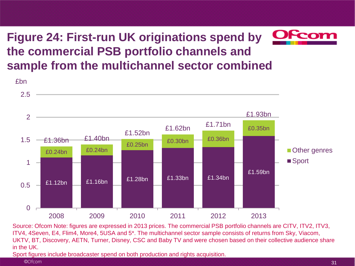### **Figure 24: First-run UK originations spend by the commercial PSB portfolio channels and sample from the multichannel sector combined**



Source: Ofcom Note: figures are expressed in 2013 prices. The commercial PSB portfolio channels are CITV, ITV2, ITV3, ITV4, 4Seven, E4, Flim4, More4, 5USA and 5\*. The multichannel sector sample consists of returns from Sky, Viacom, UKTV, BT, Discovery, AETN, Turner, Disney, CSC and Baby TV and were chosen based on their collective audience share in the UK.

Sport figures include broadcaster spend on both production and rights acquisition.

©Ofcom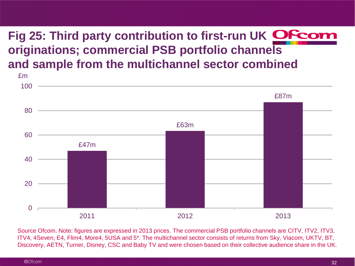## **Fig 25: Third party contribution to first-run UK originations; commercial PSB portfolio channels and sample from the multichannel sector combined**



Source Ofcom. Note: figures are expressed in 2013 prices. The commercial PSB portfolio channels are CITV, ITV2, ITV3, ITV4, 4Seven, E4, Flim4, More4, 5USA and 5\*. The multichannel sector consists of returns from Sky, Viacom, UKTV, BT, Discovery, AETN, Turner, Disney, CSC and Baby TV and were chosen based on their collective audience share in the UK.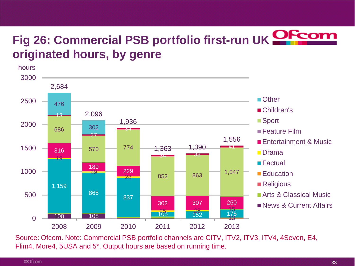# **Fig 26: Commercial PSB portfolio first-run UK originated hours, by genre**



Source: Ofcom. Note: Commercial PSB portfolio channels are CITV, ITV2, ITV3, ITV4, 4Seven, E4, Flim4, More4, 5USA and 5\*. Output hours are based on running time.